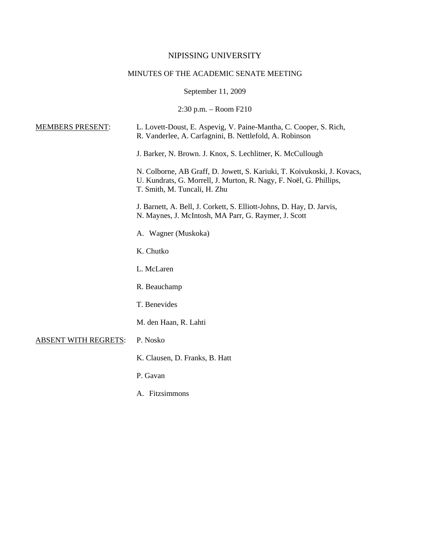# NIPISSING UNIVERSITY

# MINUTES OF THE ACADEMIC SENATE MEETING

September 11, 2009

2:30 p.m. – Room F210

| <b>MEMBERS PRESENT:</b>     | L. Lovett-Doust, E. Aspevig, V. Paine-Mantha, C. Cooper, S. Rich,<br>R. Vanderlee, A. Carfagnini, B. Nettlefold, A. Robinson                                                  |
|-----------------------------|-------------------------------------------------------------------------------------------------------------------------------------------------------------------------------|
|                             | J. Barker, N. Brown. J. Knox, S. Lechlitner, K. McCullough                                                                                                                    |
|                             | N. Colborne, AB Graff, D. Jowett, S. Kariuki, T. Koivukoski, J. Kovacs,<br>U. Kundrats, G. Morrell, J. Murton, R. Nagy, F. Noël, G. Phillips,<br>T. Smith, M. Tuncali, H. Zhu |
|                             | J. Barnett, A. Bell, J. Corkett, S. Elliott-Johns, D. Hay, D. Jarvis,<br>N. Maynes, J. McIntosh, MA Parr, G. Raymer, J. Scott                                                 |
|                             | A. Wagner (Muskoka)                                                                                                                                                           |
|                             | K. Chutko                                                                                                                                                                     |
|                             | L. McLaren                                                                                                                                                                    |
|                             | R. Beauchamp                                                                                                                                                                  |
|                             | T. Benevides                                                                                                                                                                  |
|                             | M. den Haan, R. Lahti                                                                                                                                                         |
| <b>ABSENT WITH REGRETS:</b> | P. Nosko                                                                                                                                                                      |
|                             | K. Clausen, D. Franks, B. Hatt                                                                                                                                                |
|                             | P. Gavan                                                                                                                                                                      |
|                             | A. Fitzsimmons                                                                                                                                                                |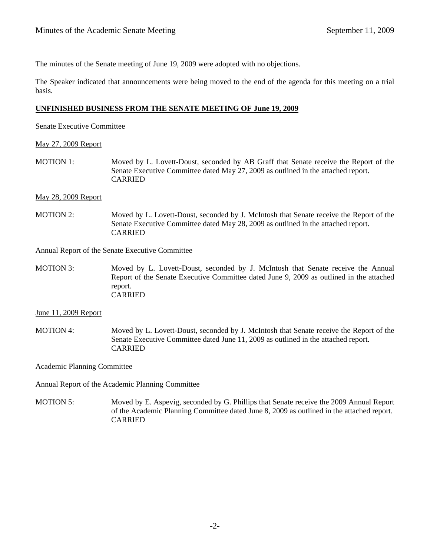The minutes of the Senate meeting of June 19, 2009 were adopted with no objections.

The Speaker indicated that announcements were being moved to the end of the agenda for this meeting on a trial basis.

## **UNFINISHED BUSINESS FROM THE SENATE MEETING OF June 19, 2009**

Senate Executive Committee

## May 27, 2009 Report

MOTION 1: Moved by L. Lovett-Doust, seconded by AB Graff that Senate receive the Report of the Senate Executive Committee dated May 27, 2009 as outlined in the attached report. CARRIED

## May 28, 2009 Report

MOTION 2: Moved by L. Lovett-Doust, seconded by J. McIntosh that Senate receive the Report of the Senate Executive Committee dated May 28, 2009 as outlined in the attached report. CARRIED

#### Annual Report of the Senate Executive Committee

MOTION 3: Moved by L. Lovett-Doust, seconded by J. McIntosh that Senate receive the Annual Report of the Senate Executive Committee dated June 9, 2009 as outlined in the attached report. CARRIED

June 11, 2009 Report

MOTION 4: Moved by L. Lovett-Doust, seconded by J. McIntosh that Senate receive the Report of the Senate Executive Committee dated June 11, 2009 as outlined in the attached report. CARRIED

Academic Planning Committee

Annual Report of the Academic Planning Committee

MOTION 5: Moved by E. Aspevig, seconded by G. Phillips that Senate receive the 2009 Annual Report of the Academic Planning Committee dated June 8, 2009 as outlined in the attached report. CARRIED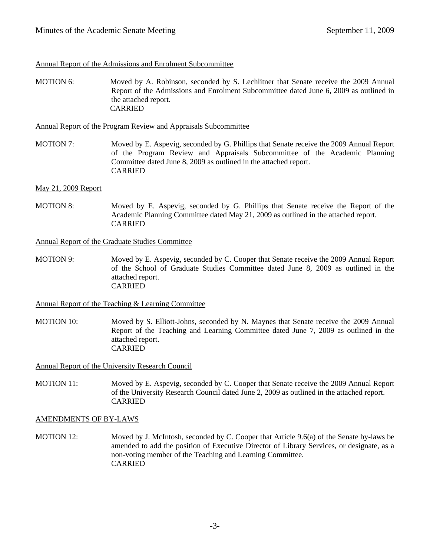## Annual Report of the Admissions and Enrolment Subcommittee

MOTION 6: Moved by A. Robinson, seconded by S. Lechlitner that Senate receive the 2009 Annual Report of the Admissions and Enrolment Subcommittee dated June 6, 2009 as outlined in the attached report. CARRIED

Annual Report of the Program Review and Appraisals Subcommittee

MOTION 7: Moved by E. Aspevig, seconded by G. Phillips that Senate receive the 2009 Annual Report of the Program Review and Appraisals Subcommittee of the Academic Planning Committee dated June 8, 2009 as outlined in the attached report. CARRIED

## May 21, 2009 Report

MOTION 8: Moved by E. Aspevig, seconded by G. Phillips that Senate receive the Report of the Academic Planning Committee dated May 21, 2009 as outlined in the attached report. CARRIED

Annual Report of the Graduate Studies Committee

MOTION 9: Moved by E. Aspevig, seconded by C. Cooper that Senate receive the 2009 Annual Report of the School of Graduate Studies Committee dated June 8, 2009 as outlined in the attached report. CARRIED

## Annual Report of the Teaching & Learning Committee

MOTION 10: Moved by S. Elliott-Johns, seconded by N. Maynes that Senate receive the 2009 Annual Report of the Teaching and Learning Committee dated June 7, 2009 as outlined in the attached report. CARRIED

Annual Report of the University Research Council

MOTION 11: Moved by E. Aspevig, seconded by C. Cooper that Senate receive the 2009 Annual Report of the University Research Council dated June 2, 2009 as outlined in the attached report. CARRIED

## AMENDMENTS OF BY-LAWS

MOTION 12: Moved by J. McIntosh, seconded by C. Cooper that Article 9.6(a) of the Senate by-laws be amended to add the position of Executive Director of Library Services, or designate, as a non-voting member of the Teaching and Learning Committee. CARRIED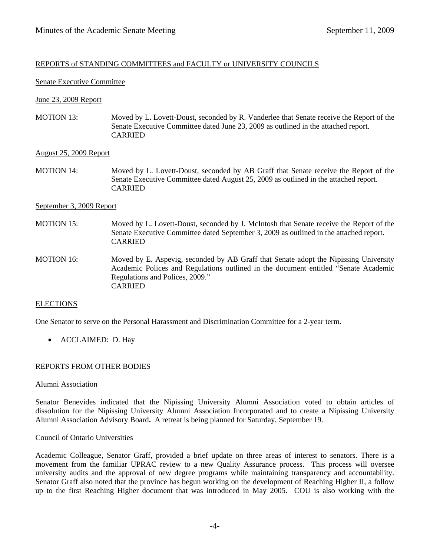## REPORTS of STANDING COMMITTEES and FACULTY or UNIVERSITY COUNCILS

#### Senate Executive Committee

## June 23, 2009 Report

MOTION 13: Moved by L. Lovett-Doust, seconded by R. Vanderlee that Senate receive the Report of the Senate Executive Committee dated June 23, 2009 as outlined in the attached report. CARRIED

#### August 25, 2009 Report

MOTION 14: Moved by L. Lovett-Doust, seconded by AB Graff that Senate receive the Report of the Senate Executive Committee dated August 25, 2009 as outlined in the attached report. CARRIED

#### September 3, 2009 Report

- MOTION 15: Moved by L. Lovett-Doust, seconded by J. McIntosh that Senate receive the Report of the Senate Executive Committee dated September 3, 2009 as outlined in the attached report. CARRIED
- MOTION 16: Moved by E. Aspevig, seconded by AB Graff that Senate adopt the Nipissing University Academic Polices and Regulations outlined in the document entitled "Senate Academic Regulations and Polices, 2009." CARRIED

#### **ELECTIONS**

One Senator to serve on the Personal Harassment and Discrimination Committee for a 2-year term.

• ACCLAIMED: D. Hay

## REPORTS FROM OTHER BODIES

#### Alumni Association

Senator Benevides indicated that the Nipissing University Alumni Association voted to obtain articles of dissolution for the Nipissing University Alumni Association Incorporated and to create a Nipissing University Alumni Association Advisory Board**.** A retreat is being planned for Saturday, September 19.

#### Council of Ontario Universities

Academic Colleague, Senator Graff, provided a brief update on three areas of interest to senators. There is a movement from the familiar UPRAC review to a new Quality Assurance process. This process will oversee university audits and the approval of new degree programs while maintaining transparency and accountability. Senator Graff also noted that the province has begun working on the development of Reaching Higher II, a follow up to the first Reaching Higher document that was introduced in May 2005. COU is also working with the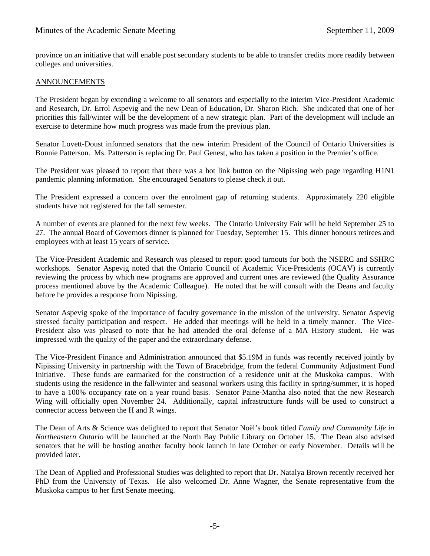province on an initiative that will enable post secondary students to be able to transfer credits more readily between colleges and universities.

## ANNOUNCEMENTS

The President began by extending a welcome to all senators and especially to the interim Vice-President Academic and Research, Dr. Errol Aspevig and the new Dean of Education, Dr. Sharon Rich. She indicated that one of her priorities this fall/winter will be the development of a new strategic plan. Part of the development will include an exercise to determine how much progress was made from the previous plan.

Senator Lovett-Doust informed senators that the new interim President of the Council of Ontario Universities is Bonnie Patterson. Ms. Patterson is replacing Dr. Paul Genest, who has taken a position in the Premier's office.

The President was pleased to report that there was a hot link button on the Nipissing web page regarding H1N1 pandemic planning information. She encouraged Senators to please check it out.

The President expressed a concern over the enrolment gap of returning students. Approximately 220 eligible students have not registered for the fall semester.

A number of events are planned for the next few weeks. The Ontario University Fair will be held September 25 to 27. The annual Board of Governors dinner is planned for Tuesday, September 15. This dinner honours retirees and employees with at least 15 years of service.

The Vice-President Academic and Research was pleased to report good turnouts for both the NSERC and SSHRC workshops. Senator Aspevig noted that the Ontario Council of Academic Vice-Presidents (OCAV) is currently reviewing the process by which new programs are approved and current ones are reviewed (the Quality Assurance process mentioned above by the Academic Colleague). He noted that he will consult with the Deans and faculty before he provides a response from Nipissing.

Senator Aspevig spoke of the importance of faculty governance in the mission of the university. Senator Aspevig stressed faculty participation and respect. He added that meetings will be held in a timely manner. The Vice-President also was pleased to note that he had attended the oral defense of a MA History student. He was impressed with the quality of the paper and the extraordinary defense.

The Vice-President Finance and Administration announced that \$5.19M in funds was recently received jointly by Nipissing University in partnership with the Town of Bracebridge, from the federal Community Adjustment Fund Initiative. These funds are earmarked for the construction of a residence unit at the Muskoka campus. With students using the residence in the fall/winter and seasonal workers using this facility in spring/summer, it is hoped to have a 100% occupancy rate on a year round basis. Senator Paine-Mantha also noted that the new Research Wing will officially open November 24. Additionally, capital infrastructure funds will be used to construct a connector access between the H and R wings.

The Dean of Arts & Science was delighted to report that Senator Noël's book titled *Family and Community Life in Northeastern Ontario* will be launched at the North Bay Public Library on October 15. The Dean also advised senators that he will be hosting another faculty book launch in late October or early November. Details will be provided later.

The Dean of Applied and Professional Studies was delighted to report that Dr. Natalya Brown recently received her PhD from the University of Texas. He also welcomed Dr. Anne Wagner, the Senate representative from the Muskoka campus to her first Senate meeting.